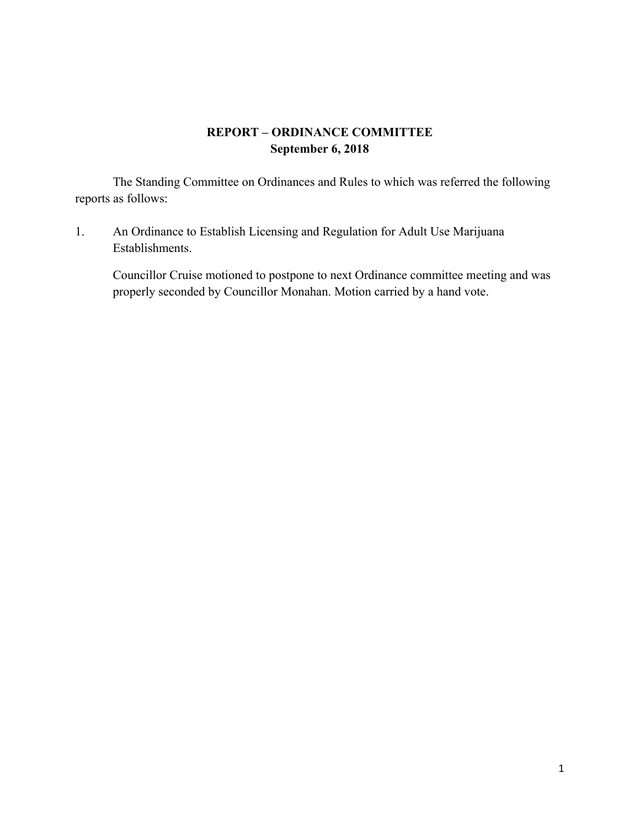## **REPORT – ORDINANCE COMMITTEE September 6, 2018**

The Standing Committee on Ordinances and Rules to which was referred the following reports as follows:

1. An Ordinance to Establish Licensing and Regulation for Adult Use Marijuana Establishments.

Councillor Cruise motioned to postpone to next Ordinance committee meeting and was properly seconded by Councillor Monahan. Motion carried by a hand vote.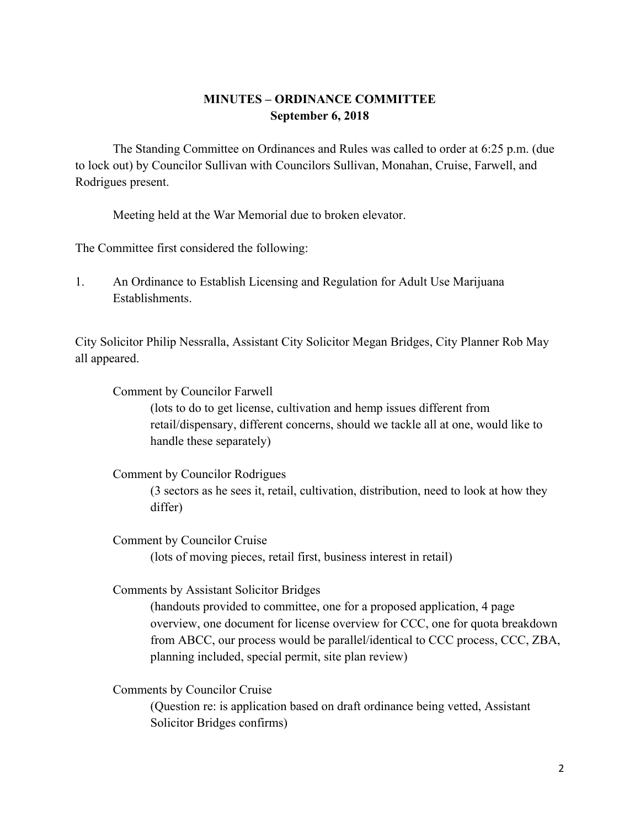## **MINUTES – ORDINANCE COMMITTEE September 6, 2018**

The Standing Committee on Ordinances and Rules was called to order at 6:25 p.m. (due to lock out) by Councilor Sullivan with Councilors Sullivan, Monahan, Cruise, Farwell, and Rodrigues present.

Meeting held at the War Memorial due to broken elevator.

The Committee first considered the following:

1. An Ordinance to Establish Licensing and Regulation for Adult Use Marijuana Establishments.

City Solicitor Philip Nessralla, Assistant City Solicitor Megan Bridges, City Planner Rob May all appeared.

Comment by Councilor Farwell

(lots to do to get license, cultivation and hemp issues different from retail/dispensary, different concerns, should we tackle all at one, would like to handle these separately)

Comment by Councilor Rodrigues

(3 sectors as he sees it, retail, cultivation, distribution, need to look at how they differ)

Comment by Councilor Cruise

(lots of moving pieces, retail first, business interest in retail)

Comments by Assistant Solicitor Bridges

(handouts provided to committee, one for a proposed application, 4 page overview, one document for license overview for CCC, one for quota breakdown from ABCC, our process would be parallel/identical to CCC process, CCC, ZBA, planning included, special permit, site plan review)

Comments by Councilor Cruise

(Question re: is application based on draft ordinance being vetted, Assistant Solicitor Bridges confirms)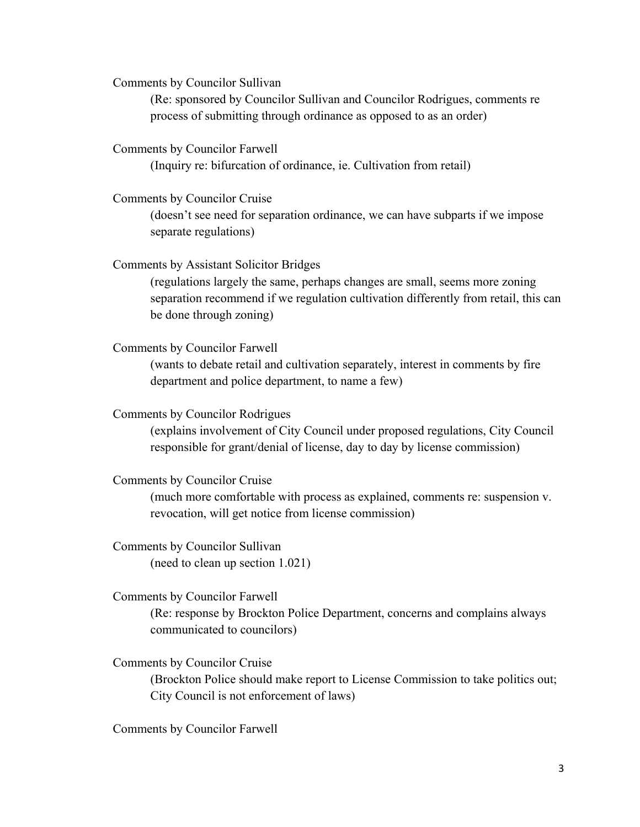Comments by Councilor Sullivan

(Re: sponsored by Councilor Sullivan and Councilor Rodrigues, comments re process of submitting through ordinance as opposed to as an order)

Comments by Councilor Farwell

(Inquiry re: bifurcation of ordinance, ie. Cultivation from retail)

Comments by Councilor Cruise

(doesn't see need for separation ordinance, we can have subparts if we impose separate regulations)

Comments by Assistant Solicitor Bridges

(regulations largely the same, perhaps changes are small, seems more zoning separation recommend if we regulation cultivation differently from retail, this can be done through zoning)

Comments by Councilor Farwell

(wants to debate retail and cultivation separately, interest in comments by fire department and police department, to name a few)

Comments by Councilor Rodrigues

(explains involvement of City Council under proposed regulations, City Council responsible for grant/denial of license, day to day by license commission)

Comments by Councilor Cruise

(much more comfortable with process as explained, comments re: suspension v. revocation, will get notice from license commission)

Comments by Councilor Sullivan (need to clean up section 1.021)

Comments by Councilor Farwell

(Re: response by Brockton Police Department, concerns and complains always communicated to councilors)

Comments by Councilor Cruise

(Brockton Police should make report to License Commission to take politics out; City Council is not enforcement of laws)

Comments by Councilor Farwell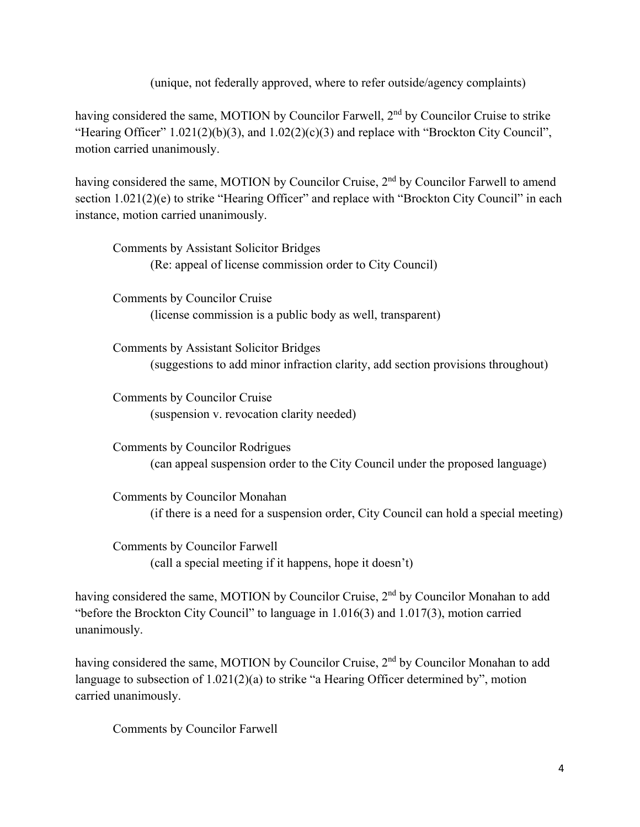(unique, not federally approved, where to refer outside/agency complaints)

having considered the same, MOTION by Councilor Farwell, 2<sup>nd</sup> by Councilor Cruise to strike "Hearing Officer" 1.021(2)(b)(3), and 1.02(2)(c)(3) and replace with "Brockton City Council", motion carried unanimously.

having considered the same, MOTION by Councilor Cruise, 2<sup>nd</sup> by Councilor Farwell to amend section 1.021(2)(e) to strike "Hearing Officer" and replace with "Brockton City Council" in each instance, motion carried unanimously.

Comments by Assistant Solicitor Bridges (Re: appeal of license commission order to City Council) Comments by Councilor Cruise (license commission is a public body as well, transparent) Comments by Assistant Solicitor Bridges (suggestions to add minor infraction clarity, add section provisions throughout)

Comments by Councilor Cruise (suspension v. revocation clarity needed)

Comments by Councilor Rodrigues (can appeal suspension order to the City Council under the proposed language)

Comments by Councilor Monahan (if there is a need for a suspension order, City Council can hold a special meeting)

Comments by Councilor Farwell (call a special meeting if it happens, hope it doesn't)

having considered the same, MOTION by Councilor Cruise, 2<sup>nd</sup> by Councilor Monahan to add "before the Brockton City Council" to language in 1.016(3) and 1.017(3), motion carried unanimously.

having considered the same, MOTION by Councilor Cruise, 2<sup>nd</sup> by Councilor Monahan to add language to subsection of 1.021(2)(a) to strike "a Hearing Officer determined by", motion carried unanimously.

Comments by Councilor Farwell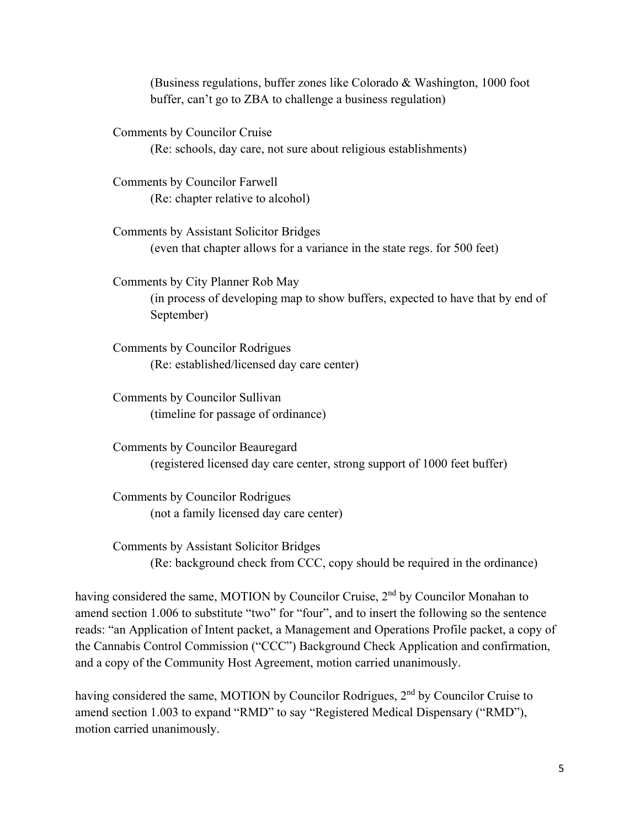(Business regulations, buffer zones like Colorado & Washington, 1000 foot buffer, can't go to ZBA to challenge a business regulation)

Comments by Councilor Cruise (Re: schools, day care, not sure about religious establishments)

Comments by Councilor Farwell (Re: chapter relative to alcohol)

Comments by Assistant Solicitor Bridges (even that chapter allows for a variance in the state regs. for 500 feet)

Comments by City Planner Rob May (in process of developing map to show buffers, expected to have that by end of September)

Comments by Councilor Rodrigues (Re: established/licensed day care center)

Comments by Councilor Sullivan (timeline for passage of ordinance)

Comments by Councilor Beauregard (registered licensed day care center, strong support of 1000 feet buffer)

Comments by Councilor Rodrigues (not a family licensed day care center)

Comments by Assistant Solicitor Bridges (Re: background check from CCC, copy should be required in the ordinance)

having considered the same, MOTION by Councilor Cruise, 2<sup>nd</sup> by Councilor Monahan to amend section 1.006 to substitute "two" for "four", and to insert the following so the sentence reads: "an Application of Intent packet, a Management and Operations Profile packet, a copy of the Cannabis Control Commission ("CCC") Background Check Application and confirmation, and a copy of the Community Host Agreement, motion carried unanimously.

having considered the same, MOTION by Councilor Rodrigues, 2<sup>nd</sup> by Councilor Cruise to amend section 1.003 to expand "RMD" to say "Registered Medical Dispensary ("RMD"), motion carried unanimously.